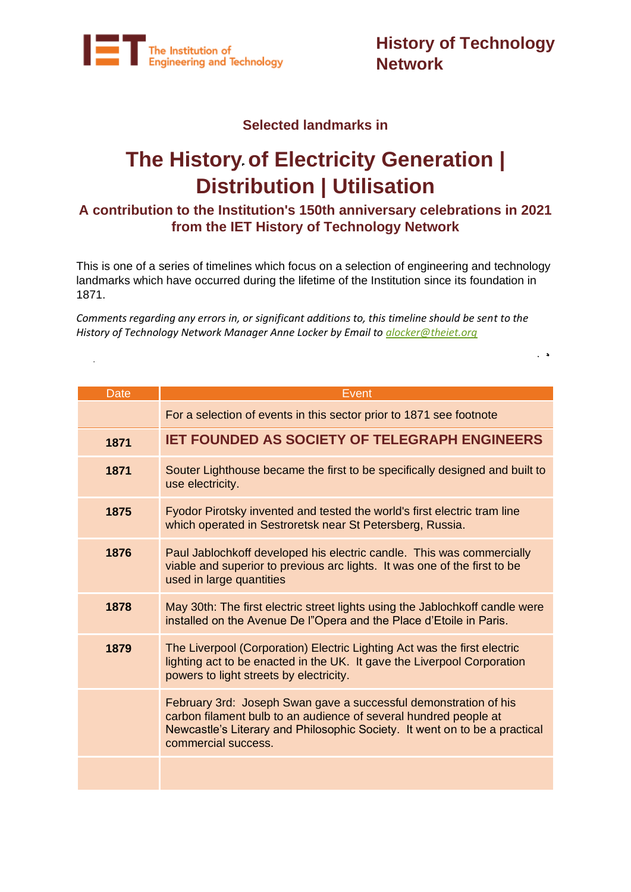

**History of Technology Network**

#### **Selected landmarks in**

# **The History of Electricity Generation | Distribution | Utilisation**

### **A contribution to the Institution's 150th anniversary celebrations in 2021 from the IET History of Technology Network**

This is one of a series of timelines which focus on a selection of engineering and technology landmarks which have occurred during the lifetime of the Institution since its foundation in 1871.

*Comments regarding any errors in, or significant additions to, this timeline should be sent to the History of Technology Network Manager Anne Locker by Email to [alocker@theiet.org](mailto:alocker@theiet.org)*

| <b>Date</b> | Event                                                                                                                                                                                                                                     |
|-------------|-------------------------------------------------------------------------------------------------------------------------------------------------------------------------------------------------------------------------------------------|
|             | For a selection of events in this sector prior to 1871 see footnote                                                                                                                                                                       |
| 1871        | <b>IET FOUNDED AS SOCIETY OF TELEGRAPH ENGINEERS</b>                                                                                                                                                                                      |
| 1871        | Souter Lighthouse became the first to be specifically designed and built to<br>use electricity.                                                                                                                                           |
| 1875        | Fyodor Pirotsky invented and tested the world's first electric tram line<br>which operated in Sestroretsk near St Petersberg, Russia.                                                                                                     |
| 1876        | Paul Jablochkoff developed his electric candle. This was commercially<br>viable and superior to previous arc lights. It was one of the first to be<br>used in large quantities                                                            |
| 1878        | May 30th: The first electric street lights using the Jablochkoff candle were<br>installed on the Avenue De l"Opera and the Place d'Etoile in Paris.                                                                                       |
| 1879        | The Liverpool (Corporation) Electric Lighting Act was the first electric<br>lighting act to be enacted in the UK. It gave the Liverpool Corporation<br>powers to light streets by electricity.                                            |
|             | February 3rd: Joseph Swan gave a successful demonstration of his<br>carbon filament bulb to an audience of several hundred people at<br>Newcastle's Literary and Philosophic Society. It went on to be a practical<br>commercial success. |
|             |                                                                                                                                                                                                                                           |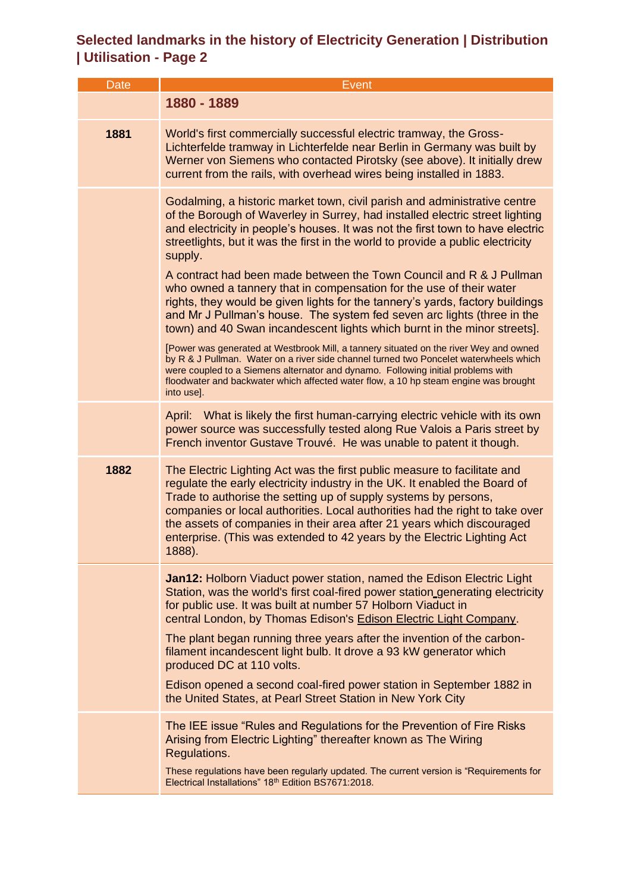| <b>Date</b> | Event                                                                                                                                                                                                                                                                                                                                                                                                                                                                    |
|-------------|--------------------------------------------------------------------------------------------------------------------------------------------------------------------------------------------------------------------------------------------------------------------------------------------------------------------------------------------------------------------------------------------------------------------------------------------------------------------------|
|             | 1880 - 1889                                                                                                                                                                                                                                                                                                                                                                                                                                                              |
| 1881        | World's first commercially successful electric tramway, the Gross-<br>Lichterfelde tramway in Lichterfelde near Berlin in Germany was built by<br>Werner von Siemens who contacted Pirotsky (see above). It initially drew<br>current from the rails, with overhead wires being installed in 1883.                                                                                                                                                                       |
|             | Godalming, a historic market town, civil parish and administrative centre<br>of the Borough of Waverley in Surrey, had installed electric street lighting<br>and electricity in people's houses. It was not the first town to have electric<br>streetlights, but it was the first in the world to provide a public electricity<br>supply.                                                                                                                                |
|             | A contract had been made between the Town Council and R & J Pullman<br>who owned a tannery that in compensation for the use of their water<br>rights, they would be given lights for the tannery's yards, factory buildings<br>and Mr J Pullman's house. The system fed seven arc lights (three in the<br>town) and 40 Swan incandescent lights which burnt in the minor streets].                                                                                       |
|             | [Power was generated at Westbrook Mill, a tannery situated on the river Wey and owned<br>by R & J Pullman. Water on a river side channel turned two Poncelet waterwheels which<br>were coupled to a Siemens alternator and dynamo. Following initial problems with<br>floodwater and backwater which affected water flow, a 10 hp steam engine was brought<br>into use].                                                                                                 |
|             | April: What is likely the first human-carrying electric vehicle with its own<br>power source was successfully tested along Rue Valois a Paris street by<br>French inventor Gustave Trouvé. He was unable to patent it though.                                                                                                                                                                                                                                            |
| 1882        | The Electric Lighting Act was the first public measure to facilitate and<br>regulate the early electricity industry in the UK. It enabled the Board of<br>Trade to authorise the setting up of supply systems by persons,<br>companies or local authorities. Local authorities had the right to take over<br>the assets of companies in their area after 21 years which discouraged<br>enterprise. (This was extended to 42 years by the Electric Lighting Act<br>1888). |
|             | <b>Jan12: Holborn Viaduct power station, named the Edison Electric Light</b><br>Station, was the world's first coal-fired power station generating electricity<br>for public use. It was built at number 57 Holborn Viaduct in<br>central London, by Thomas Edison's Edison Electric Light Company.                                                                                                                                                                      |
|             | The plant began running three years after the invention of the carbon-<br>filament incandescent light bulb. It drove a 93 kW generator which<br>produced DC at 110 volts.                                                                                                                                                                                                                                                                                                |
|             | Edison opened a second coal-fired power station in September 1882 in<br>the United States, at Pearl Street Station in New York City                                                                                                                                                                                                                                                                                                                                      |
|             | The IEE issue "Rules and Regulations for the Prevention of Fire Risks<br>Arising from Electric Lighting" thereafter known as The Wiring<br>Regulations.<br>These regulations have been regularly updated. The current version is "Requirements for                                                                                                                                                                                                                       |
|             | Electrical Installations" 18th Edition BS7671:2018.                                                                                                                                                                                                                                                                                                                                                                                                                      |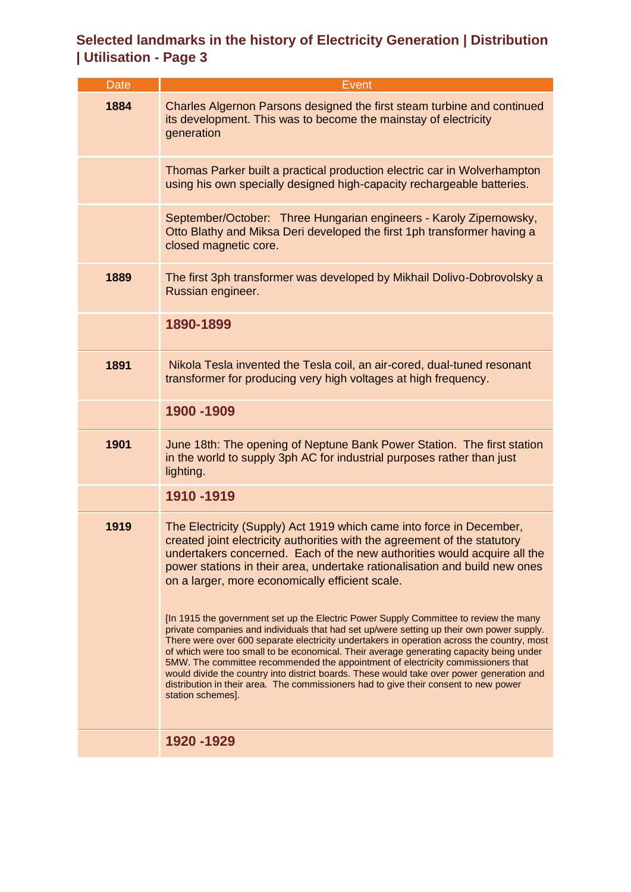| <b>Date</b> | Event                                                                                                                                                                                                                                                                                                                                                                                                                                                                                                                                                                            |
|-------------|----------------------------------------------------------------------------------------------------------------------------------------------------------------------------------------------------------------------------------------------------------------------------------------------------------------------------------------------------------------------------------------------------------------------------------------------------------------------------------------------------------------------------------------------------------------------------------|
| 1884        | Charles Algernon Parsons designed the first steam turbine and continued<br>its development. This was to become the mainstay of electricity<br>generation                                                                                                                                                                                                                                                                                                                                                                                                                         |
|             | Thomas Parker built a practical production electric car in Wolverhampton<br>using his own specially designed high-capacity rechargeable batteries.                                                                                                                                                                                                                                                                                                                                                                                                                               |
|             | September/October: Three Hungarian engineers - Karoly Zipernowsky,<br>Otto Blathy and Miksa Deri developed the first 1ph transformer having a<br>closed magnetic core.                                                                                                                                                                                                                                                                                                                                                                                                           |
| 1889        | The first 3ph transformer was developed by Mikhail Dolivo-Dobrovolsky a<br>Russian engineer.                                                                                                                                                                                                                                                                                                                                                                                                                                                                                     |
|             | 1890-1899                                                                                                                                                                                                                                                                                                                                                                                                                                                                                                                                                                        |
| 1891        | Nikola Tesla invented the Tesla coil, an air-cored, dual-tuned resonant<br>transformer for producing very high voltages at high frequency.                                                                                                                                                                                                                                                                                                                                                                                                                                       |
|             | 1900 - 1909                                                                                                                                                                                                                                                                                                                                                                                                                                                                                                                                                                      |
| 1901        | June 18th: The opening of Neptune Bank Power Station. The first station<br>in the world to supply 3ph AC for industrial purposes rather than just<br>lighting.                                                                                                                                                                                                                                                                                                                                                                                                                   |
|             | 1910-1919                                                                                                                                                                                                                                                                                                                                                                                                                                                                                                                                                                        |
| 1919        | The Electricity (Supply) Act 1919 which came into force in December,<br>created joint electricity authorities with the agreement of the statutory<br>undertakers concerned. Each of the new authorities would acquire all the<br>power stations in their area, undertake rationalisation and build new ones<br>on a larger, more economically efficient scale.<br>[In 1915 the government set up the Electric Power Supply Committee to review the many                                                                                                                          |
|             | private companies and individuals that had set up/were setting up their own power supply.<br>There were over 600 separate electricity undertakers in operation across the country, most<br>of which were too small to be economical. Their average generating capacity being under<br>5MW. The committee recommended the appointment of electricity commissioners that<br>would divide the country into district boards. These would take over power generation and<br>distribution in their area. The commissioners had to give their consent to new power<br>station schemes]. |
|             | 1920 - 1929                                                                                                                                                                                                                                                                                                                                                                                                                                                                                                                                                                      |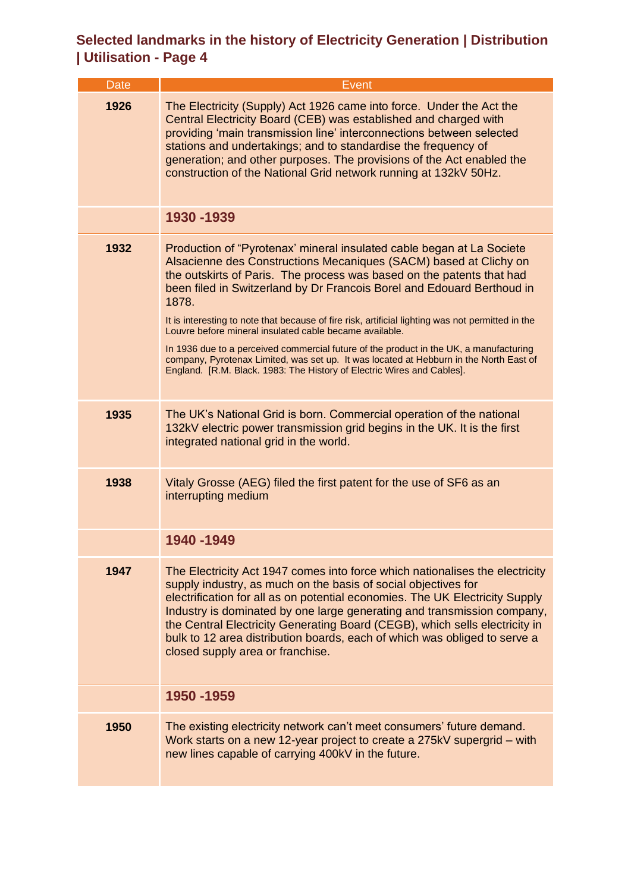| Date | Event                                                                                                                                                                                                                                                                                                                                                                                                                                                                                                                                                            |
|------|------------------------------------------------------------------------------------------------------------------------------------------------------------------------------------------------------------------------------------------------------------------------------------------------------------------------------------------------------------------------------------------------------------------------------------------------------------------------------------------------------------------------------------------------------------------|
| 1926 | The Electricity (Supply) Act 1926 came into force. Under the Act the<br>Central Electricity Board (CEB) was established and charged with<br>providing 'main transmission line' interconnections between selected<br>stations and undertakings; and to standardise the frequency of<br>generation; and other purposes. The provisions of the Act enabled the<br>construction of the National Grid network running at 132kV 50Hz.                                                                                                                                  |
|      | 1930 - 1939                                                                                                                                                                                                                                                                                                                                                                                                                                                                                                                                                      |
| 1932 | Production of "Pyrotenax' mineral insulated cable began at La Societe<br>Alsacienne des Constructions Mecaniques (SACM) based at Clichy on<br>the outskirts of Paris. The process was based on the patents that had<br>been filed in Switzerland by Dr Francois Borel and Edouard Berthoud in<br>1878.<br>It is interesting to note that because of fire risk, artificial lighting was not permitted in the<br>Louvre before mineral insulated cable became available.<br>In 1936 due to a perceived commercial future of the product in the UK, a manufacturing |
|      | company, Pyrotenax Limited, was set up. It was located at Hebburn in the North East of<br>England. [R.M. Black. 1983: The History of Electric Wires and Cables].                                                                                                                                                                                                                                                                                                                                                                                                 |
| 1935 | The UK's National Grid is born. Commercial operation of the national<br>132kV electric power transmission grid begins in the UK. It is the first<br>integrated national grid in the world.                                                                                                                                                                                                                                                                                                                                                                       |
| 1938 | Vitaly Grosse (AEG) filed the first patent for the use of SF6 as an<br>interrupting medium                                                                                                                                                                                                                                                                                                                                                                                                                                                                       |
|      | 1940-1949                                                                                                                                                                                                                                                                                                                                                                                                                                                                                                                                                        |
| 1947 | The Electricity Act 1947 comes into force which nationalises the electricity<br>supply industry, as much on the basis of social objectives for<br>electrification for all as on potential economies. The UK Electricity Supply<br>Industry is dominated by one large generating and transmission company,<br>the Central Electricity Generating Board (CEGB), which sells electricity in<br>bulk to 12 area distribution boards, each of which was obliged to serve a<br>closed supply area or franchise.                                                        |
|      | 1950 - 1959                                                                                                                                                                                                                                                                                                                                                                                                                                                                                                                                                      |
| 1950 | The existing electricity network can't meet consumers' future demand.<br>Work starts on a new 12-year project to create a 275kV supergrid – with<br>new lines capable of carrying 400kV in the future.                                                                                                                                                                                                                                                                                                                                                           |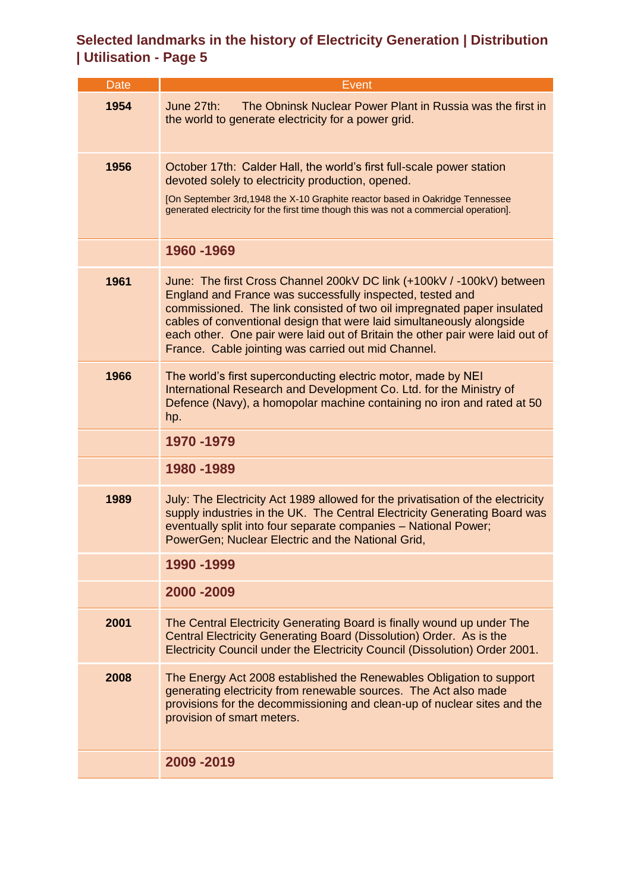| <b>Date</b> | Event                                                                                                                                                                                                                                                                                                                                                                                                                          |
|-------------|--------------------------------------------------------------------------------------------------------------------------------------------------------------------------------------------------------------------------------------------------------------------------------------------------------------------------------------------------------------------------------------------------------------------------------|
| 1954        | June 27th:<br>The Obninsk Nuclear Power Plant in Russia was the first in<br>the world to generate electricity for a power grid.                                                                                                                                                                                                                                                                                                |
| 1956        | October 17th: Calder Hall, the world's first full-scale power station<br>devoted solely to electricity production, opened.<br>[On September 3rd, 1948 the X-10 Graphite reactor based in Oakridge Tennessee                                                                                                                                                                                                                    |
|             | generated electricity for the first time though this was not a commercial operation].                                                                                                                                                                                                                                                                                                                                          |
|             | 1960 - 1969                                                                                                                                                                                                                                                                                                                                                                                                                    |
| 1961        | June: The first Cross Channel 200kV DC link (+100kV / -100kV) between<br>England and France was successfully inspected, tested and<br>commissioned. The link consisted of two oil impregnated paper insulated<br>cables of conventional design that were laid simultaneously alongside<br>each other. One pair were laid out of Britain the other pair were laid out of<br>France. Cable jointing was carried out mid Channel. |
| 1966        | The world's first superconducting electric motor, made by NEI<br>International Research and Development Co. Ltd. for the Ministry of<br>Defence (Navy), a homopolar machine containing no iron and rated at 50<br>hp.                                                                                                                                                                                                          |
|             | 1970 - 1979                                                                                                                                                                                                                                                                                                                                                                                                                    |
|             | 1980-1989                                                                                                                                                                                                                                                                                                                                                                                                                      |
| 1989        | July: The Electricity Act 1989 allowed for the privatisation of the electricity<br>supply industries in the UK. The Central Electricity Generating Board was<br>eventually split into four separate companies - National Power;<br>PowerGen; Nuclear Electric and the National Grid,                                                                                                                                           |
|             | 1990 - 1999                                                                                                                                                                                                                                                                                                                                                                                                                    |
|             | 2000 - 2009                                                                                                                                                                                                                                                                                                                                                                                                                    |
| 2001        | The Central Electricity Generating Board is finally wound up under The<br>Central Electricity Generating Board (Dissolution) Order. As is the<br>Electricity Council under the Electricity Council (Dissolution) Order 2001.                                                                                                                                                                                                   |
| 2008        | The Energy Act 2008 established the Renewables Obligation to support<br>generating electricity from renewable sources. The Act also made<br>provisions for the decommissioning and clean-up of nuclear sites and the<br>provision of smart meters.                                                                                                                                                                             |
|             | 2009 - 2019                                                                                                                                                                                                                                                                                                                                                                                                                    |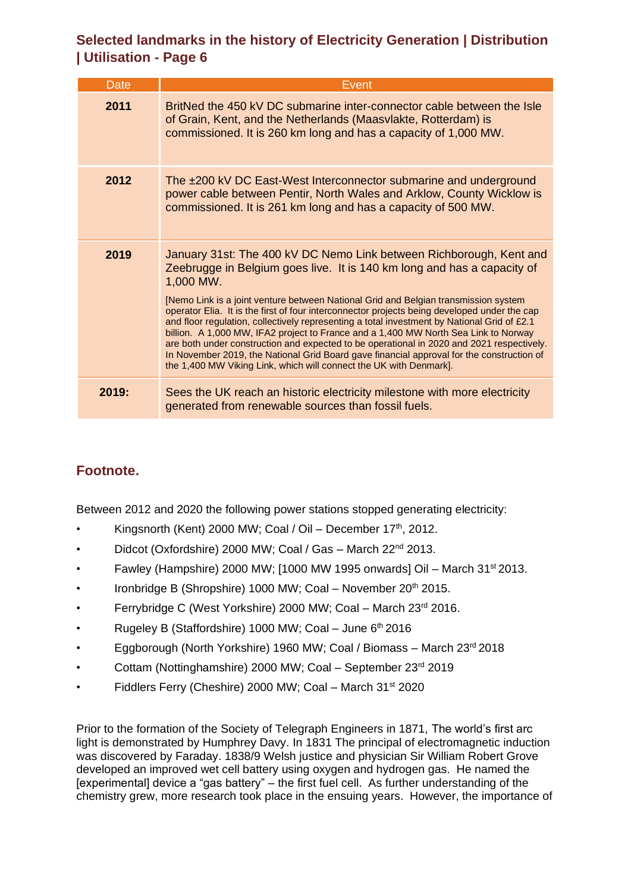| <b>Date</b> | Event                                                                                                                                                                                                                                                                                                                                                                                                                                                                                                                                                                                                                                                                                                                                                                                                    |
|-------------|----------------------------------------------------------------------------------------------------------------------------------------------------------------------------------------------------------------------------------------------------------------------------------------------------------------------------------------------------------------------------------------------------------------------------------------------------------------------------------------------------------------------------------------------------------------------------------------------------------------------------------------------------------------------------------------------------------------------------------------------------------------------------------------------------------|
| 2011        | BritNed the 450 kV DC submarine inter-connector cable between the Isle<br>of Grain, Kent, and the Netherlands (Maasvlakte, Rotterdam) is<br>commissioned. It is 260 km long and has a capacity of 1,000 MW.                                                                                                                                                                                                                                                                                                                                                                                                                                                                                                                                                                                              |
| 2012        | The ±200 kV DC East-West Interconnector submarine and underground<br>power cable between Pentir, North Wales and Arklow, County Wicklow is<br>commissioned. It is 261 km long and has a capacity of 500 MW.                                                                                                                                                                                                                                                                                                                                                                                                                                                                                                                                                                                              |
| 2019        | January 31st: The 400 kV DC Nemo Link between Richborough, Kent and<br>Zeebrugge in Belgium goes live. It is 140 km long and has a capacity of<br>1,000 MW.<br>[Nemo Link is a joint venture between National Grid and Belgian transmission system<br>operator Elia. It is the first of four interconnector projects being developed under the cap<br>and floor regulation, collectively representing a total investment by National Grid of £2.1<br>billion. A 1,000 MW, IFA2 project to France and a 1,400 MW North Sea Link to Norway<br>are both under construction and expected to be operational in 2020 and 2021 respectively.<br>In November 2019, the National Grid Board gave financial approval for the construction of<br>the 1,400 MW Viking Link, which will connect the UK with Denmark]. |
| 2019.       | Sees the UK reach an historic electricity milestone with more electricity<br>generated from renewable sources than fossil fuels.                                                                                                                                                                                                                                                                                                                                                                                                                                                                                                                                                                                                                                                                         |

#### **Footnote.**

Between 2012 and 2020 the following power stations stopped generating electricity:

- Kingsnorth (Kent) 2000 MW; Coal / Oil December  $17<sup>th</sup>$ , 2012.
- Didcot (Oxfordshire) 2000 MW; Coal / Gas March 22nd 2013.
- Fawley (Hampshire) 2000 MW; [1000 MW 1995 onwards] Oil March 31st 2013.
- Ironbridge B (Shropshire) 1000 MW; Coal November 20<sup>th</sup> 2015.
- Ferrybridge C (West Yorkshire) 2000 MW; Coal March 23rd 2016.
- Rugeley B (Staffordshire) 1000 MW; Coal June 6<sup>th</sup> 2016
- Eggborough (North Yorkshire) 1960 MW; Coal / Biomass March 23<sup>rd</sup> 2018
- Cottam (Nottinghamshire) 2000 MW; Coal September 23rd 2019
- Fiddlers Ferry (Cheshire) 2000 MW; Coal March 31<sup>st</sup> 2020

Prior to the formation of the Society of Telegraph Engineers in 1871, The world's first arc light is demonstrated by Humphrey Davy. In 1831 The principal of electromagnetic induction was discovered by Faraday. 1838/9 Welsh justice and physician Sir William Robert Grove developed an improved wet cell battery using oxygen and hydrogen gas. He named the [experimental] device a "gas battery" – the first fuel cell. As further understanding of the chemistry grew, more research took place in the ensuing years. However, the importance of